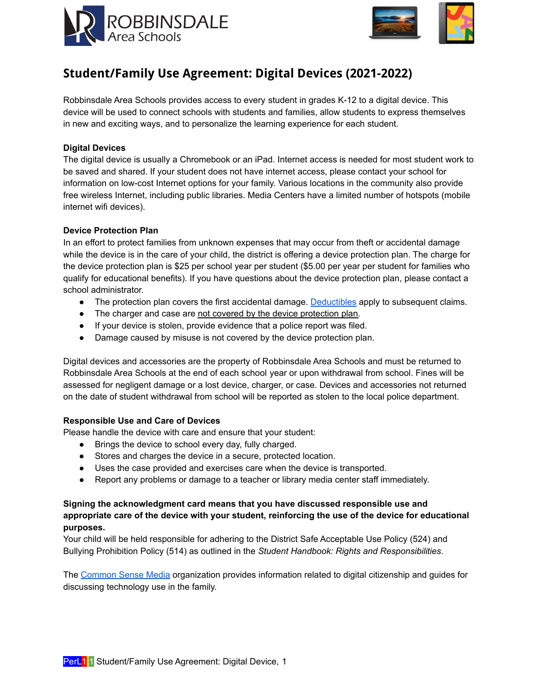



# **Student/Family Use Agreement: Digital Devices (2021-2022)**

Robbinsdale Area Schools provides access to every student in grades K-12 to a digital device. This device will be used to connect schools with students and families, allow students to express themselves in new and exciting ways, and to personalize the learning experience for each student.

### **Digital Devices**

The digital device is usually a Chromebook or an iPad. Internet access is needed for most student work to be saved and shared. If your student does not have internet access, please contact your school for information on low-cost Internet options for your family. Various locations in the community also provide free wireless Internet, including public libraries. Media Centers have a limited number of hotspots (mobile internet wifi devices).

### **Device Protection Plan**

In an effort to protect families from unknown expenses that may occur from theft or accidental damage while the device is in the care of your child, the district is offering a device protection plan. The charge for the device protection plan is \$25 per school year per student (\$5.00 per year per student for families who qualify for educational benefits). If you have questions about the device protection plan, please contact a school administrator.

- The protection plan covers the first accidental damage. [Deductibles](#page-1-0) apply to subsequent claims.
- The charger and case are not covered by the device protection plan.
- If your device is stolen, provide evidence that a police report was filed.
- Damage caused by misuse is not covered by the device protection plan.

Digital devices and accessories are the property of Robbinsdale Area Schools and must be returned to Robbinsdale Area Schools at the end of each school year or upon withdrawal from school. Fines will be assessed for negligent damage or a lost device, charger, or case. Devices and accessories not returned on the date of student withdrawal from school will be reported as stolen to the local police department.

#### **Responsible Use and Care of Devices**

Please handle the device with care and ensure that your student:

- Brings the device to school every day, fully charged.
- Stores and charges the device in a secure, protected location.
- Uses the case provided and exercises care when the device is transported.
- Report any problems or damage to a teacher or library media center staff immediately.

# **Signing the acknowledgment card means that you have discussed responsible use and appropriate care of the device with your student, reinforcing the use of the device for educational purposes.**

Your child will be held responsible for adhering to the District Safe Acceptable Use Policy (524) and Bullying Prohibition Policy (514) as outlined in the *Student Handbook: Rights and Responsibilities*.

The [Common](http://www.commonsensemedia.org) Sense Media organization provides information related to digital citizenship and guides for discussing technology use in the family.